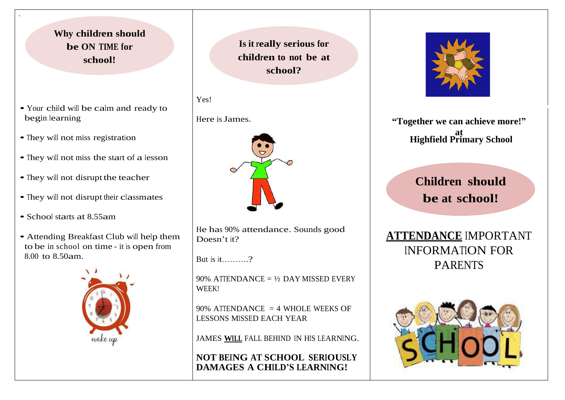#### **Why children should be ON TIME for school!**

- Your child will be calm and ready to begin learning
- They will not miss registration

.

- They will not miss the start of a lesson
- They will not disrupt the teacher
- They will not disrupt their classmates
- School starts at 8.55am
- Attending Breakfast Club will help them to be in school on time - it is open from 8.00 to 8.50am.



**Is it really serious for children to not be at school?** 

Here is James.



He has 90% attendance. Sounds good Doesn't it?

But is it……….?

90% ATTENDANCE =  $\frac{1}{2}$  DAY MISSED EVERY WEEK!

90% ATTENDANCE  $=$  4 WHOLE WEEKS OF LESSONS MISSED EACH YEAR

JAMES **WILL** FALL BEHIND IN HIS LEARNING.

**NOT BEING AT SCHOOL SERIOUSLY DAMAGES A CHILD'S LEARNING!**



**"Together we can achieve more!" at Highfield Primary School**

# **Children should be at school!**

**ATTENDANCE** IMPORTANT INFORMATION FOR PARENTS